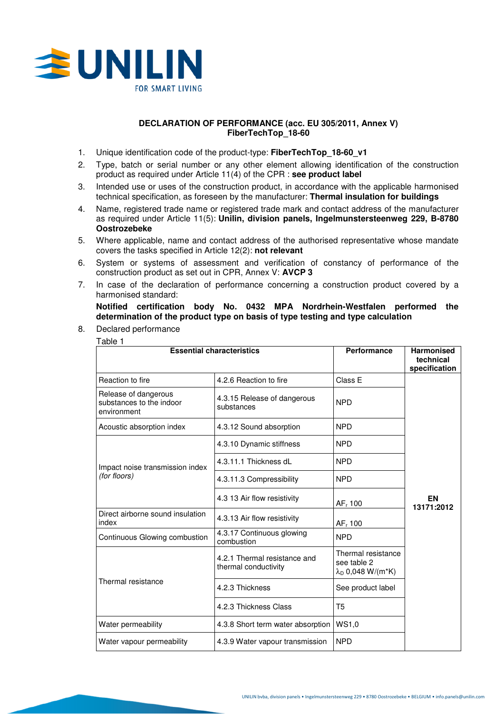

# **DECLARATION OF PERFORMANCE (acc. EU 305/2011, Annex V) FiberTechTop\_18-60**

- 1. Unique identification code of the product-type: **FiberTechTop\_18-60\_v1**
- 2. Type, batch or serial number or any other element allowing identification of the construction product as required under Article 11(4) of the CPR : **see product label**
- 3. Intended use or uses of the construction product, in accordance with the applicable harmonised technical specification, as foreseen by the manufacturer: **Thermal insulation for buildings**
- 4. Name, registered trade name or registered trade mark and contact address of the manufacturer as required under Article 11(5): **Unilin, division panels, Ingelmunstersteenweg 229, B-8780 Oostrozebeke**
- 5. Where applicable, name and contact address of the authorised representative whose mandate covers the tasks specified in Article 12(2): **not relevant**
- 6. System or systems of assessment and verification of constancy of performance of the construction product as set out in CPR, Annex V: **AVCP 3**
- 7. In case of the declaration of performance concerning a construction product covered by a harmonised standard:

**Notified certification body No. 0432 MPA Nordrhein-Westfalen performed the determination of the product type on basis of type testing and type calculation** 

8. Declared performance Table 1

| <b>Essential characteristics</b>                                |                                                      | Performance                                                          | <b>Harmonised</b><br>technical<br>specification |
|-----------------------------------------------------------------|------------------------------------------------------|----------------------------------------------------------------------|-------------------------------------------------|
| Reaction to fire                                                | 4.2.6 Reaction to fire                               | Class E                                                              |                                                 |
| Release of dangerous<br>substances to the indoor<br>environment | 4.3.15 Release of dangerous<br>substances            | <b>NPD</b>                                                           |                                                 |
| Acoustic absorption index                                       | 4.3.12 Sound absorption                              | <b>NPD</b>                                                           |                                                 |
| Impact noise transmission index<br>(for floors)                 | 4.3.10 Dynamic stiffness                             | <b>NPD</b>                                                           |                                                 |
|                                                                 | 4.3.11.1 Thickness dL                                | <b>NPD</b>                                                           |                                                 |
|                                                                 | 4.3.11.3 Compressibility                             | <b>NPD</b>                                                           |                                                 |
|                                                                 | 4.3 13 Air flow resistivity                          | AF <sub>r</sub> 100                                                  | EN<br>13171:2012                                |
| Direct airborne sound insulation<br>index                       | 4.3.13 Air flow resistivity                          | $AFr$ 100                                                            |                                                 |
| Continuous Glowing combustion                                   | 4.3.17 Continuous glowing<br>combustion              | <b>NPD</b>                                                           |                                                 |
| Thermal resistance                                              | 4.2.1 Thermal resistance and<br>thermal conductivity | Thermal resistance<br>see table 2<br>$\lambda_{\rm D}$ 0,048 W/(m*K) |                                                 |
|                                                                 | 4.2.3 Thickness                                      | See product label                                                    |                                                 |
|                                                                 | 4.2.3 Thickness Class                                | T5                                                                   |                                                 |
| Water permeability                                              | 4.3.8 Short term water absorption                    | WS1,0                                                                |                                                 |
| Water vapour permeability                                       | 4.3.9 Water vapour transmission                      | <b>NPD</b>                                                           |                                                 |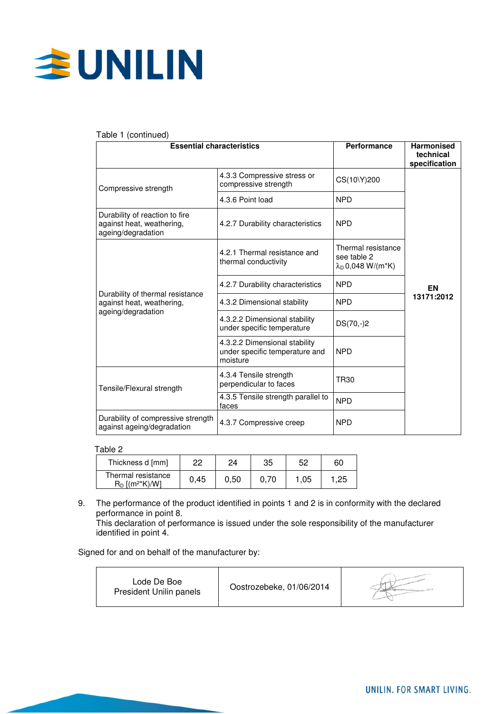

## Table 1 (continued)

| <b>Essential characteristics</b>                                                    |                                                                             | Performance                                                      | <b>Harmonised</b><br>technical<br>specification |
|-------------------------------------------------------------------------------------|-----------------------------------------------------------------------------|------------------------------------------------------------------|-------------------------------------------------|
| Compressive strength                                                                | 4.3.3 Compressive stress or<br>compressive strength                         | CS(10\Y)200                                                      |                                                 |
|                                                                                     | 4.3.6 Point load                                                            | <b>NPD</b>                                                       |                                                 |
| Durability of reaction to fire<br>against heat, weathering,<br>ageing/degradation   | 4.2.7 Durability characteristics                                            | <b>NPD</b>                                                       |                                                 |
|                                                                                     | 4.2.1 Thermal resistance and<br>thermal conductivity                        | Thermal resistance<br>see table 2<br>$\lambda_{D}$ 0,048 W/(m*K) |                                                 |
|                                                                                     | 4.2.7 Durability characteristics                                            | <b>NPD</b>                                                       | EN                                              |
| Durability of thermal resistance<br>against heat, weathering,<br>ageing/degradation | 4.3.2 Dimensional stability                                                 | <b>NPD</b>                                                       | 13171:2012                                      |
|                                                                                     | 4.3.2.2 Dimensional stability<br>under specific temperature                 | $DS(70,-)2$                                                      |                                                 |
|                                                                                     | 4.3.2.2 Dimensional stability<br>under specific temperature and<br>moisture | <b>NPD</b>                                                       |                                                 |
| Tensile/Flexural strength                                                           | 4.3.4 Tensile strength<br>perpendicular to faces                            | <b>TR30</b>                                                      |                                                 |
|                                                                                     | 4.3.5 Tensile strength parallel to<br>faces                                 | <b>NPD</b>                                                       |                                                 |
| Durability of compressive strength<br>against ageing/degradation                    | 4.3.7 Compressive creep                                                     | <b>NPD</b>                                                       |                                                 |

### Table 2

| Thickness d [mm]                                    | ממ   | 24   | 35   | 52   | 60  |
|-----------------------------------------------------|------|------|------|------|-----|
| Thermal resistance<br>$R_D$ [(m <sup>2*</sup> K)/Wl | 0.45 | 0.50 | 0.70 | 1,05 | .25 |

9. The performance of the product identified in points 1 and 2 is in conformity with the declared performance in point 8.

This declaration of performance is issued under the sole responsibility of the manufacturer identified in point 4.

Signed for and on behalf of the manufacturer by:

| Lode De Boe<br>President Unilin panels | Oostrozebeke, 01/06/2014 |  |
|----------------------------------------|--------------------------|--|
|----------------------------------------|--------------------------|--|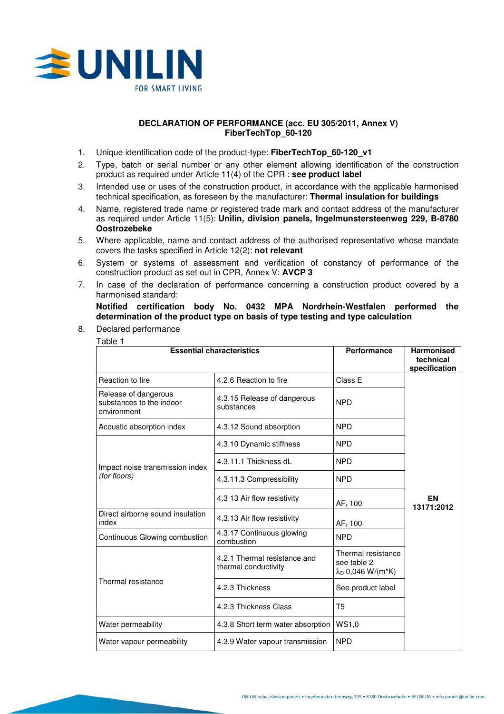

# **DECLARATION OF PERFORMANCE (acc. EU 305/2011, Annex V) FiberTechTop\_60-120**

- 1. Unique identification code of the product-type: **FiberTechTop\_60-120\_v1**
- 2. Type, batch or serial number or any other element allowing identification of the construction product as required under Article 11(4) of the CPR : **see product label**
- 3. Intended use or uses of the construction product, in accordance with the applicable harmonised technical specification, as foreseen by the manufacturer: **Thermal insulation for buildings**
- 4. Name, registered trade name or registered trade mark and contact address of the manufacturer as required under Article 11(5): **Unilin, division panels, Ingelmunstersteenweg 229, B-8780 Oostrozebeke**
- 5. Where applicable, name and contact address of the authorised representative whose mandate covers the tasks specified in Article 12(2): **not relevant**
- 6. System or systems of assessment and verification of constancy of performance of the construction product as set out in CPR, Annex V: **AVCP 3**
- 7. In case of the declaration of performance concerning a construction product covered by a harmonised standard:

**Notified certification body No. 0432 MPA Nordrhein-Westfalen performed the determination of the product type on basis of type testing and type calculation** 

8. Declared performance Table 1

| <b>Essential characteristics</b>                                |                                                      | Performance                                                          | <b>Harmonised</b><br>technical<br>specification |
|-----------------------------------------------------------------|------------------------------------------------------|----------------------------------------------------------------------|-------------------------------------------------|
| Reaction to fire                                                | 4.2.6 Reaction to fire                               | Class E                                                              |                                                 |
| Release of dangerous<br>substances to the indoor<br>environment | 4.3.15 Release of dangerous<br>substances            | <b>NPD</b>                                                           |                                                 |
| Acoustic absorption index                                       | 4.3.12 Sound absorption                              | <b>NPD</b>                                                           |                                                 |
| Impact noise transmission index<br>(for floors)                 | 4.3.10 Dynamic stiffness                             | <b>NPD</b>                                                           |                                                 |
|                                                                 | 4.3.11.1 Thickness dL                                | <b>NPD</b>                                                           |                                                 |
|                                                                 | 4.3.11.3 Compressibility                             | <b>NPD</b>                                                           |                                                 |
|                                                                 | 4.3 13 Air flow resistivity                          | AF <sub>r</sub> 100                                                  | EN<br>13171:2012                                |
| Direct airborne sound insulation<br>index                       | 4.3.13 Air flow resistivity                          | $AFr$ 100                                                            |                                                 |
| Continuous Glowing combustion                                   | 4.3.17 Continuous glowing<br>combustion              | <b>NPD</b>                                                           |                                                 |
| Thermal resistance                                              | 4.2.1 Thermal resistance and<br>thermal conductivity | Thermal resistance<br>see table 2<br>$\lambda_{\rm D}$ 0,046 W/(m*K) |                                                 |
|                                                                 | 4.2.3 Thickness                                      | See product label                                                    |                                                 |
|                                                                 | 4.2.3 Thickness Class                                | T5                                                                   |                                                 |
| Water permeability                                              | 4.3.8 Short term water absorption                    | WS1,0                                                                |                                                 |
| Water vapour permeability                                       | 4.3.9 Water vapour transmission                      | <b>NPD</b>                                                           |                                                 |